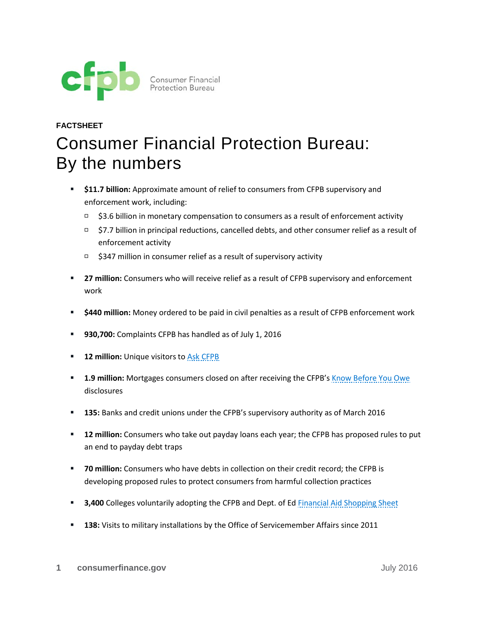

## **FACTSHEET** Consumer Financial Protection Bureau: By the numbers

- **\$11.7 billion:** Approximate amount of relief to consumers from CFPB supervisory and enforcement work, including:
	- $\Box$  \$3.6 billion in monetary compensation to consumers as a result of enforcement activity
	- \$7.7 billion in principal reductions, cancelled debts, and other consumer relief as a result of enforcement activity
	- $\Box$  \$347 million in consumer relief as a result of supervisory activity
- **27 million:** Consumers who will receive relief as a result of CFPB supervisory and enforcement work
- **\$440 million:** Money ordered to be paid in civil penalties as a result of CFPB enforcement work
- **930,700:** Complaints CFPB has handled as of July 1, 2016
- **12 million:** Unique visitors to [Ask CFPB](http://www.consumerfinance.gov/askcfpb/)
- **1.9 million:** Mortgages consumers closed on after receiving the CFPB's [Know Before You Owe](http://www.consumerfinance.gov/know-before-you-owe/) disclosures
- **135:** Banks and credit unions under the CFPB's supervisory authority as of March 2016
- **12 million:** Consumers who take out payday loans each year; the CFPB has proposed rules to put an end to payday debt traps
- **70 million:** Consumers who have debts in collection on their credit record; the CFPB is developing proposed rules to protect consumers from harmful collection practices
- **3,400** Colleges voluntarily adopting the CFPB and Dept. of Ed [Financial Aid Shopping Sheet](http://www.consumerfinance.gov/paying-for-college/)
- **138:** Visits to military installations by the Office of Servicemember Affairs since 2011